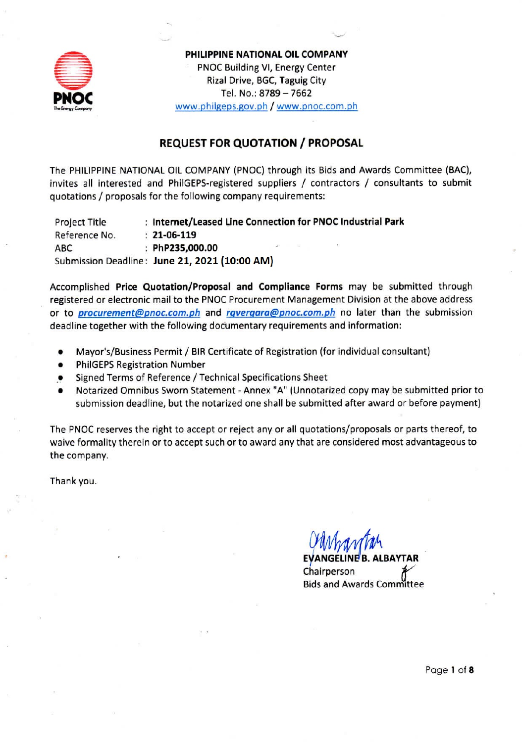

PHILIPPINE NATIONAL OIL COMPANY PNOC Building VI, Energy Center Rizal Drive, BGC, Taguig City Tel. No.: 8789 - 7662 www.philgeps.gov.ph / www.pnoc.com.ph

# **REQUEST FOR QUOTATION / PROPOSAL**

The PHILIPPINE NATIONAL OIL COMPANY (PNOC) through its Bids and Awards Committee (BAC), invites all interested and PhilGEPS-registered suppliers / contractors / consultants to submit quotations / proposals for the following company requirements:

**Project Title** : Internet/Leased Line Connection for PNOC Industrial Park Reference No.  $: 21 - 06 - 119$ ABC. : PhP235.000.00 Submission Deadline: June 21, 2021 (10:00 AM)

Accomplished Price Quotation/Proposal and Compliance Forms may be submitted through registered or electronic mail to the PNOC Procurement Management Division at the above address or to *procurement@pnoc.com.ph* and *rgvergara@pnoc.com.ph* no later than the submission deadline together with the following documentary requirements and information:

- Mayor's/Business Permit / BIR Certificate of Registration (for individual consultant)
- **PhilGEPS Registration Number**
- Signed Terms of Reference / Technical Specifications Sheet
- Notarized Omnibus Sworn Statement Annex "A" (Unnotarized copy may be submitted prior to submission deadline, but the notarized one shall be submitted after award or before payment)

The PNOC reserves the right to accept or reject any or all quotations/proposals or parts thereof, to waive formality therein or to accept such or to award any that are considered most advantageous to the company.

Thank you.

**EVANGELINE B. ALBAYTAR** Chairperson **Bids and Awards Committee** 

Page 1 of 8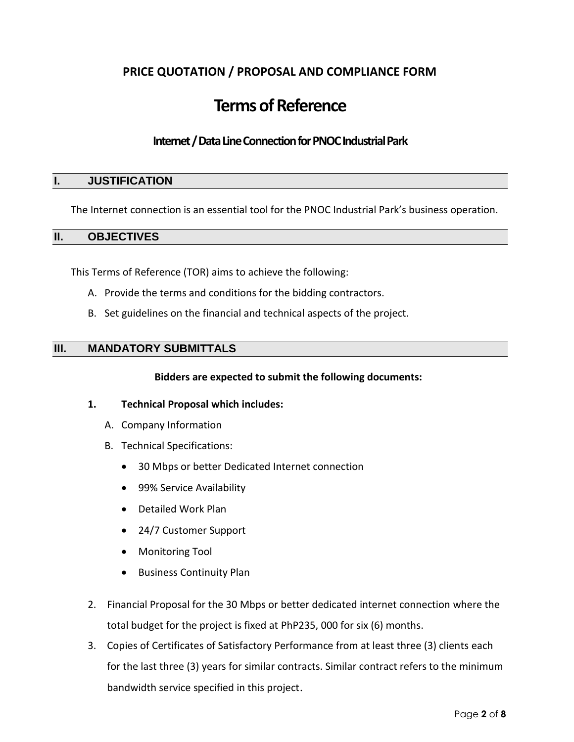# **PRICE QUOTATION / PROPOSAL AND COMPLIANCE FORM**

# **Terms of Reference**

### **Internet / Data Line Connection for PNOC Industrial Park**

#### **I. JUSTIFICATION**

The Internet connection is an essential tool for the PNOC Industrial Park's business operation.

#### **II. OBJECTIVES**

This Terms of Reference (TOR) aims to achieve the following:

- A. Provide the terms and conditions for the bidding contractors.
- B. Set guidelines on the financial and technical aspects of the project.

#### **III. MANDATORY SUBMITTALS**

#### **Bidders are expected to submit the following documents:**

#### **1. Technical Proposal which includes:**

- A. Company Information
- B. Technical Specifications:
	- 30 Mbps or better Dedicated Internet connection
	- 99% Service Availability
	- Detailed Work Plan
	- 24/7 Customer Support
	- Monitoring Tool
	- **•** Business Continuity Plan
- 2. Financial Proposal for the 30 Mbps or better dedicated internet connection where the total budget for the project is fixed at PhP235, 000 for six (6) months.
- 3. Copies of Certificates of Satisfactory Performance from at least three (3) clients each for the last three (3) years for similar contracts. Similar contract refers to the minimum bandwidth service specified in this project.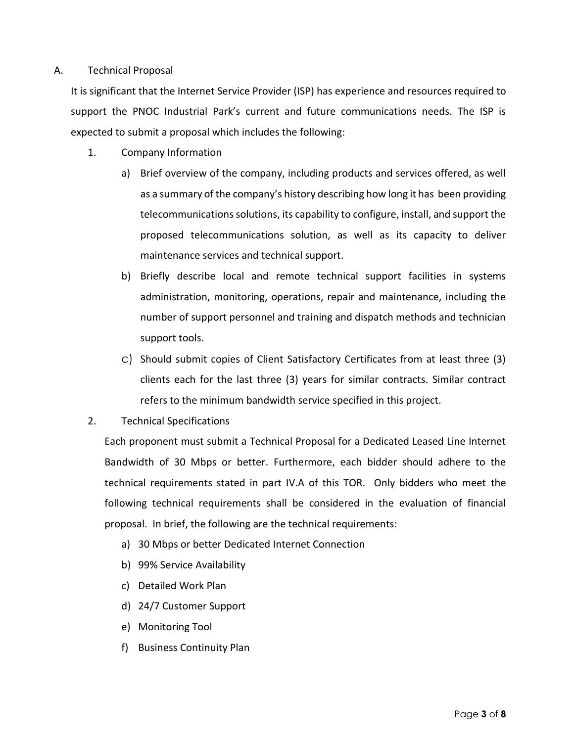#### A. Technical Proposal

It is significant that the Internet Service Provider (ISP) has experience and resources required to support the PNOC Industrial Park's current and future communications needs. The ISP is expected to submit a proposal which includes the following:

- 1. Company Information
	- a) Brief overview of the company, including products and services offered, as well as a summary of the company's history describing how long it has been providing telecommunications solutions, its capability to configure, install, and support the proposed telecommunications solution, as well as its capacity to deliver maintenance services and technical support.
	- b) Briefly describe local and remote technical support facilities in systems administration, monitoring, operations, repair and maintenance, including the number of support personnel and training and dispatch methods and technician support tools.
	- c) Should submit copies of Client Satisfactory Certificates from at least three (3) clients each for the last three (3) years for similar contracts. Similar contract refers to the minimum bandwidth service specified in this project.
- 2. Technical Specifications

Each proponent must submit a Technical Proposal for a Dedicated Leased Line Internet Bandwidth of 30 Mbps or better. Furthermore, each bidder should adhere to the technical requirements stated in part IV.A of this TOR. Only bidders who meet the following technical requirements shall be considered in the evaluation of financial proposal. In brief, the following are the technical requirements:

- a) 30 Mbps or better Dedicated Internet Connection
- b) 99% Service Availability
- c) Detailed Work Plan
- d) 24/7 Customer Support
- e) Monitoring Tool
- f) Business Continuity Plan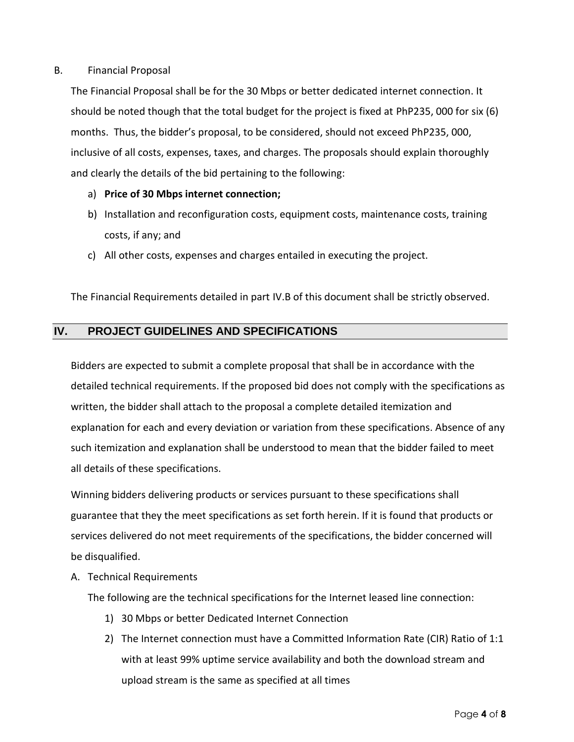#### B. Financial Proposal

The Financial Proposal shall be for the 30 Mbps or better dedicated internet connection. It should be noted though that the total budget for the project is fixed at PhP235, 000 for six (6) months. Thus, the bidder's proposal, to be considered, should not exceed PhP235, 000, inclusive of all costs, expenses, taxes, and charges. The proposals should explain thoroughly and clearly the details of the bid pertaining to the following:

#### a) **Price of 30 Mbps internet connection;**

- b) Installation and reconfiguration costs, equipment costs, maintenance costs, training costs, if any; and
- c) All other costs, expenses and charges entailed in executing the project.

The Financial Requirements detailed in part IV.B of this document shall be strictly observed.

#### **IV. PROJECT GUIDELINES AND SPECIFICATIONS**

Bidders are expected to submit a complete proposal that shall be in accordance with the detailed technical requirements. If the proposed bid does not comply with the specifications as written, the bidder shall attach to the proposal a complete detailed itemization and explanation for each and every deviation or variation from these specifications. Absence of any such itemization and explanation shall be understood to mean that the bidder failed to meet all details of these specifications.

Winning bidders delivering products or services pursuant to these specifications shall guarantee that they the meet specifications as set forth herein. If it is found that products or services delivered do not meet requirements of the specifications, the bidder concerned will be disqualified.

A. Technical Requirements

The following are the technical specifications for the Internet leased line connection:

- 1) 30 Mbps or better Dedicated Internet Connection
- 2) The Internet connection must have a Committed Information Rate (CIR) Ratio of 1:1 with at least 99% uptime service availability and both the download stream and upload stream is the same as specified at all times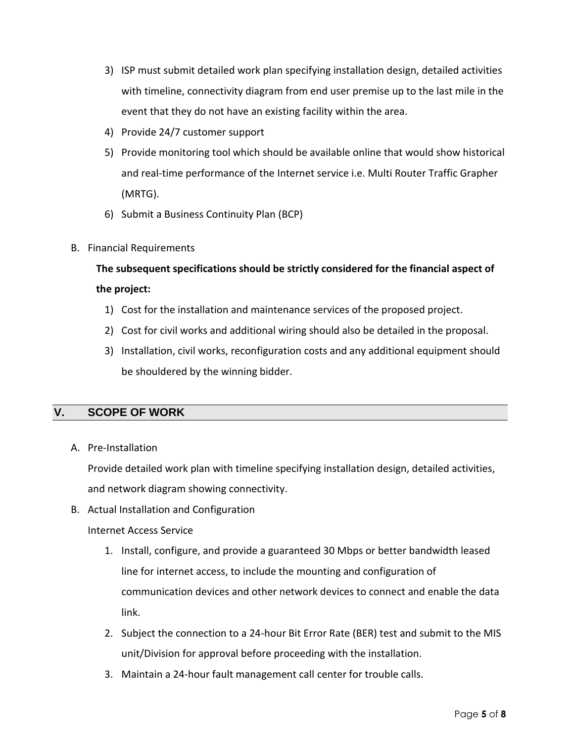- 3) ISP must submit detailed work plan specifying installation design, detailed activities with timeline, connectivity diagram from end user premise up to the last mile in the event that they do not have an existing facility within the area.
- 4) Provide 24/7 customer support
- 5) Provide monitoring tool which should be available online that would show historical and real-time performance of the Internet service i.e. Multi Router Traffic Grapher (MRTG).
- 6) Submit a Business Continuity Plan (BCP)
- B. Financial Requirements

**The subsequent specifications should be strictly considered for the financial aspect of the project:** 

- 1) Cost for the installation and maintenance services of the proposed project.
- 2) Cost for civil works and additional wiring should also be detailed in the proposal.
- 3) Installation, civil works, reconfiguration costs and any additional equipment should be shouldered by the winning bidder.

# **V. SCOPE OF WORK**

A. Pre-Installation

Provide detailed work plan with timeline specifying installation design, detailed activities, and network diagram showing connectivity.

B. Actual Installation and Configuration

#### Internet Access Service

- 1. Install, configure, and provide a guaranteed 30 Mbps or better bandwidth leased line for internet access, to include the mounting and configuration of communication devices and other network devices to connect and enable the data link.
- 2. Subject the connection to a 24-hour Bit Error Rate (BER) test and submit to the MIS unit/Division for approval before proceeding with the installation.
- 3. Maintain a 24-hour fault management call center for trouble calls.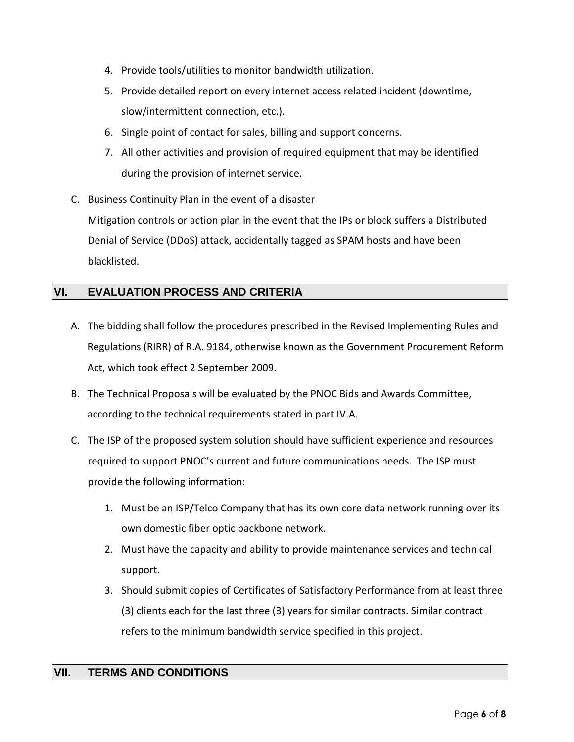- 4. Provide tools/utilities to monitor bandwidth utilization.
- 5. Provide detailed report on every internet access related incident (downtime, slow/intermittent connection, etc.).
- 6. Single point of contact for sales, billing and support concerns.
- 7. All other activities and provision of required equipment that may be identified during the provision of internet service.
- C. Business Continuity Plan in the event of a disaster Mitigation controls or action plan in the event that the IPs or block suffers a Distributed Denial of Service (DDoS) attack, accidentally tagged as SPAM hosts and have been blacklisted.

# **VI. EVALUATION PROCESS AND CRITERIA**

- A. The bidding shall follow the procedures prescribed in the Revised Implementing Rules and Regulations (RIRR) of R.A. 9184, otherwise known as the Government Procurement Reform Act, which took effect 2 September 2009.
- B. The Technical Proposals will be evaluated by the PNOC Bids and Awards Committee, according to the technical requirements stated in part IV.A.
- C. The ISP of the proposed system solution should have sufficient experience and resources required to support PNOC's current and future communications needs. The ISP must provide the following information:
	- 1. Must be an ISP/Telco Company that has its own core data network running over its own domestic fiber optic backbone network.
	- 2. Must have the capacity and ability to provide maintenance services and technical support.
	- 3. Should submit copies of Certificates of Satisfactory Performance from at least three (3) clients each for the last three (3) years for similar contracts. Similar contract refers to the minimum bandwidth service specified in this project.

# **VII. TERMS AND CONDITIONS**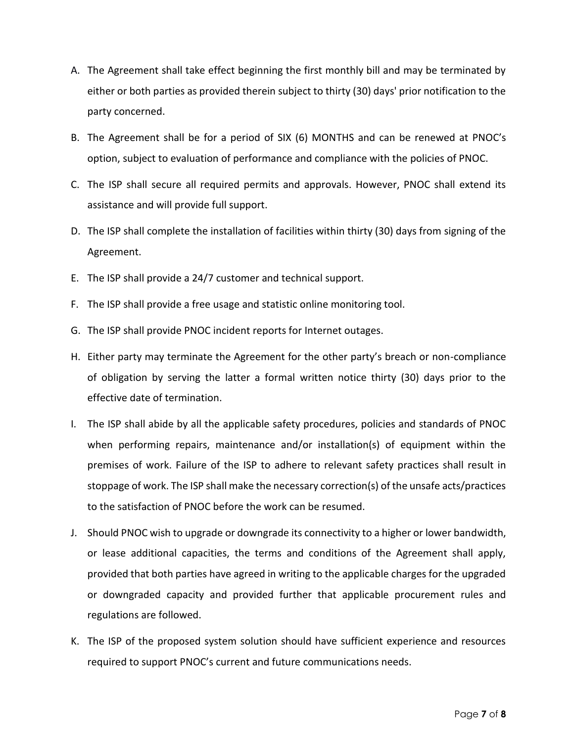- A. The Agreement shall take effect beginning the first monthly bill and may be terminated by either or both parties as provided therein subject to thirty (30) days' prior notification to the party concerned.
- B. The Agreement shall be for a period of SIX (6) MONTHS and can be renewed at PNOC's option, subject to evaluation of performance and compliance with the policies of PNOC.
- C. The ISP shall secure all required permits and approvals. However, PNOC shall extend its assistance and will provide full support.
- D. The ISP shall complete the installation of facilities within thirty (30) days from signing of the Agreement.
- E. The ISP shall provide a 24/7 customer and technical support.
- F. The ISP shall provide a free usage and statistic online monitoring tool.
- G. The ISP shall provide PNOC incident reports for Internet outages.
- H. Either party may terminate the Agreement for the other party's breach or non-compliance of obligation by serving the latter a formal written notice thirty (30) days prior to the effective date of termination.
- I. The ISP shall abide by all the applicable safety procedures, policies and standards of PNOC when performing repairs, maintenance and/or installation(s) of equipment within the premises of work. Failure of the ISP to adhere to relevant safety practices shall result in stoppage of work. The ISP shall make the necessary correction(s) of the unsafe acts/practices to the satisfaction of PNOC before the work can be resumed.
- J. Should PNOC wish to upgrade or downgrade its connectivity to a higher or lower bandwidth, or lease additional capacities, the terms and conditions of the Agreement shall apply, provided that both parties have agreed in writing to the applicable charges for the upgraded or downgraded capacity and provided further that applicable procurement rules and regulations are followed.
- K. The ISP of the proposed system solution should have sufficient experience and resources required to support PNOC's current and future communications needs.